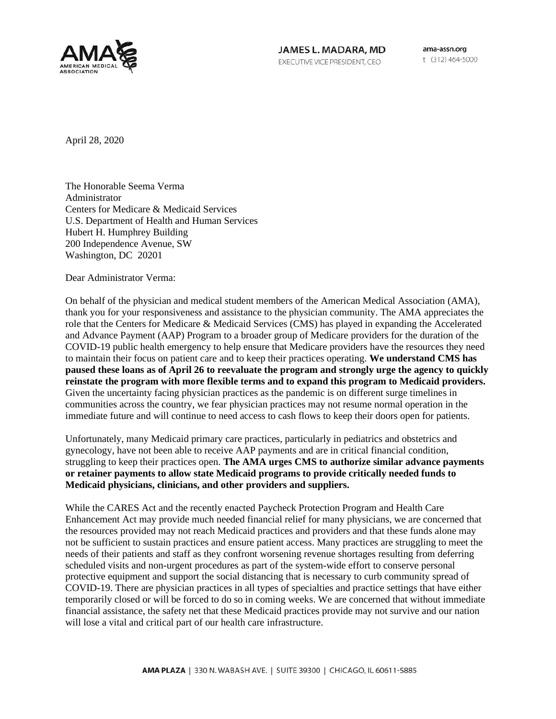

JAMES L. MADARA, MD EXECUTIVE VICE PRESIDENT, CEO

ama-assn.org t (312) 464-5000

April 28, 2020

The Honorable Seema Verma Administrator Centers for Medicare & Medicaid Services U.S. Department of Health and Human Services Hubert H. Humphrey Building 200 Independence Avenue, SW Washington, DC 20201

Dear Administrator Verma:

On behalf of the physician and medical student members of the American Medical Association (AMA), thank you for your responsiveness and assistance to the physician community. The AMA appreciates the role that the Centers for Medicare & Medicaid Services (CMS) has played in expanding the Accelerated and Advance Payment (AAP) Program to a broader group of Medicare providers for the duration of the COVID-19 public health emergency to help ensure that Medicare providers have the resources they need to maintain their focus on patient care and to keep their practices operating. **We understand CMS has paused these loans as of April 26 to reevaluate the program and strongly urge the agency to quickly reinstate the program with more flexible terms and to expand this program to Medicaid providers.** Given the uncertainty facing physician practices as the pandemic is on different surge timelines in communities across the country, we fear physician practices may not resume normal operation in the immediate future and will continue to need access to cash flows to keep their doors open for patients.

Unfortunately, many Medicaid primary care practices, particularly in pediatrics and obstetrics and gynecology, have not been able to receive AAP payments and are in critical financial condition, struggling to keep their practices open. **The AMA urges CMS to authorize similar advance payments or retainer payments to allow state Medicaid programs to provide critically needed funds to Medicaid physicians, clinicians, and other providers and suppliers.**

While the CARES Act and the recently enacted Paycheck Protection Program and Health Care Enhancement Act may provide much needed financial relief for many physicians, we are concerned that the resources provided may not reach Medicaid practices and providers and that these funds alone may not be sufficient to sustain practices and ensure patient access. Many practices are struggling to meet the needs of their patients and staff as they confront worsening revenue shortages resulting from deferring scheduled visits and non-urgent procedures as part of the system-wide effort to conserve personal protective equipment and support the social distancing that is necessary to curb community spread of COVID-19. There are physician practices in all types of specialties and practice settings that have either temporarily closed or will be forced to do so in coming weeks. We are concerned that without immediate financial assistance, the safety net that these Medicaid practices provide may not survive and our nation will lose a vital and critical part of our health care infrastructure.